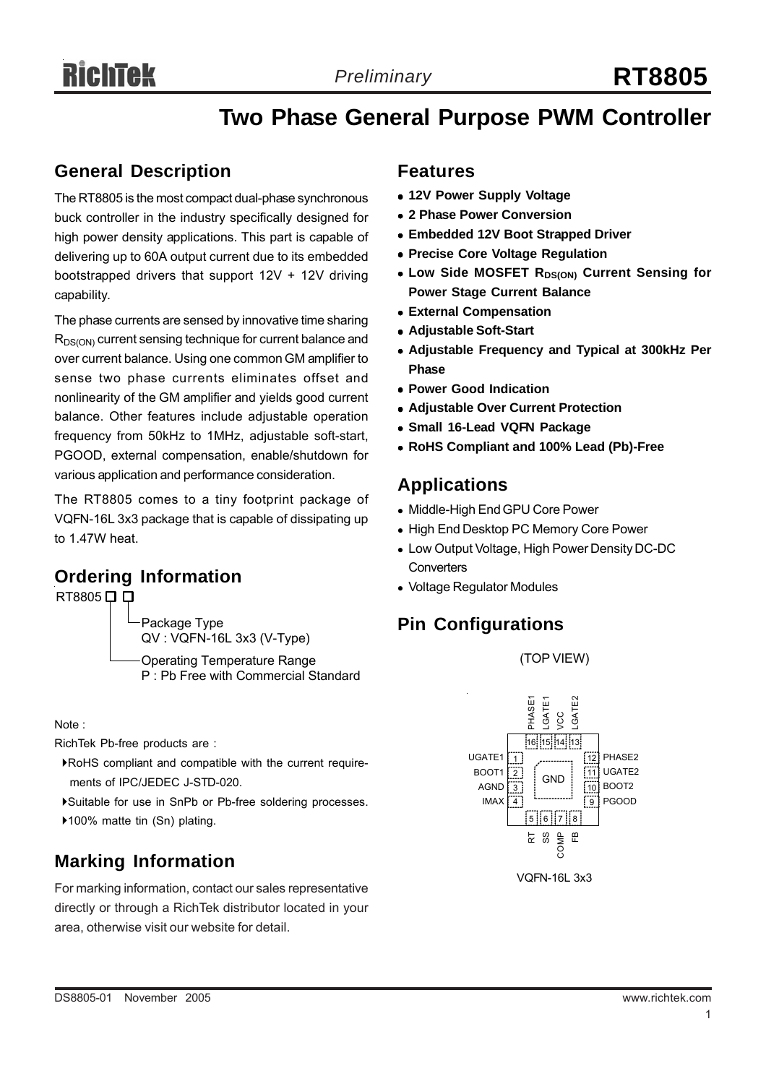## **Two Phase General Purpose PWM Controller**

### **General Description**

The RT8805 is the most compact dual-phase synchronous buck controller in the industry specifically designed for high power density applications. This part is capable of delivering up to 60A output current due to its embedded bootstrapped drivers that support  $12V + 12V$  driving capability.

The phase currents are sensed by innovative time sharing R<sub>DS(ON)</sub> current sensing technique for current balance and over current balance. Using one common GM amplifier to sense two phase currents eliminates offset and nonlinearity of the GM amplifier and yields good current balance. Other features include adjustable operation frequency from 50kHz to 1MHz, adjustable soft-start, PGOOD, external compensation, enable/shutdown for various application and performance consideration.

The RT8805 comes to a tiny footprint package of VQFN-16L 3x3 package that is capable of dissipating up to 1.47W heat.

### **Ordering Information**

Package Type QV : VQFN-16L 3x3 (V-Type) RT8805□□

> Operating Temperature Range P : Pb Free with Commercial Standard

Note :

RichTek Pb-free products are :

- `RoHS compliant and compatible with the current require ments of IPC/JEDEC J-STD-020.
- `Suitable for use in SnPb or Pb-free soldering processes.
- ▶100% matte tin (Sn) plating.

## **Marking Information**

For marking information, contact our sales representative directly or through a RichTek distributor located in your area, otherwise visit our website for detail.

#### **Features**

- **12V Power Supply Voltage**
- <sup>z</sup> **2 Phase Power Conversion**
- **Embedded 12V Boot Strapped Driver**
- **Precise Core Voltage Regulation**
- **. Low Side MOSFET RDS(ON) Current Sensing for Power Stage Current Balance**
- $\bullet$  **External Compensation**
- **Adjustable Soft-Start**
- **Adjustable Frequency and Typical at 300kHz Per Phase**
- **Power Good Indication**
- **Adjustable Over Current Protection**
- **Small 16-Lead VQFN Package**
- <sup>z</sup> **RoHS Compliant and 100% Lead (Pb)-Free**

### **Applications**

- Middle-High End GPU Core Power
- High End Desktop PC Memory Core Power
- Low Output Voltage, High Power Density DC-DC **Converters**
- Voltage Regulator Modules

## **Pin Configurations**

(TOP VIEW)

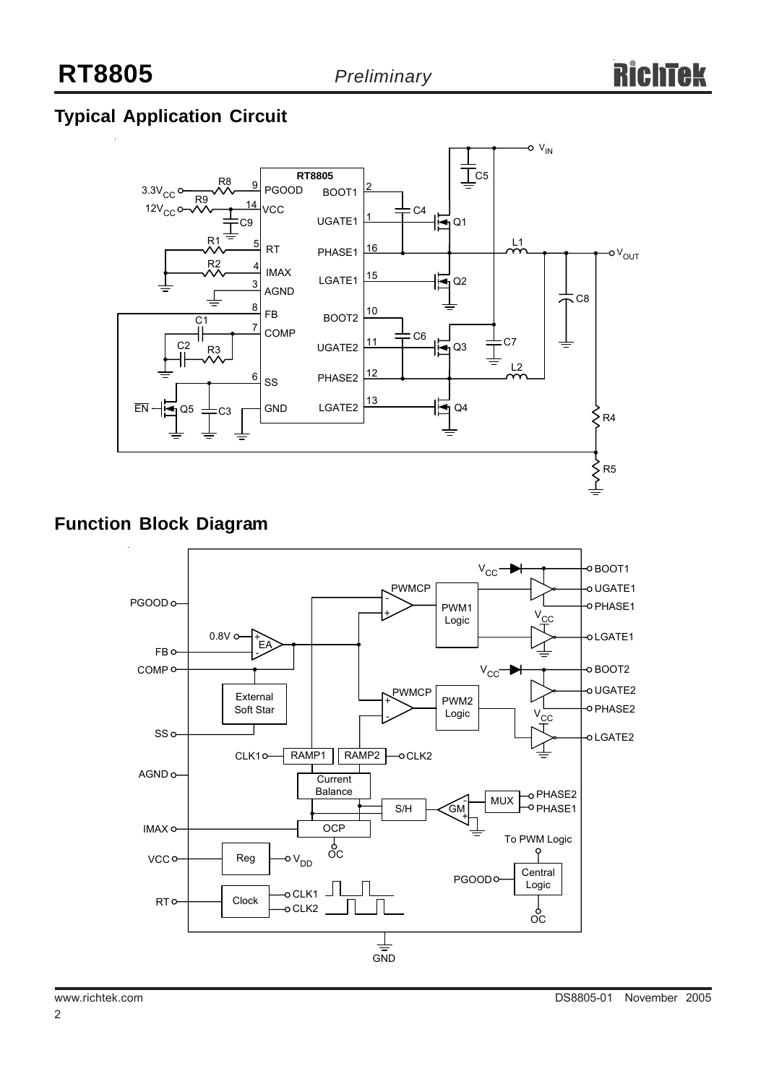## **Typical Application Circuit**



## **Function Block Diagram**

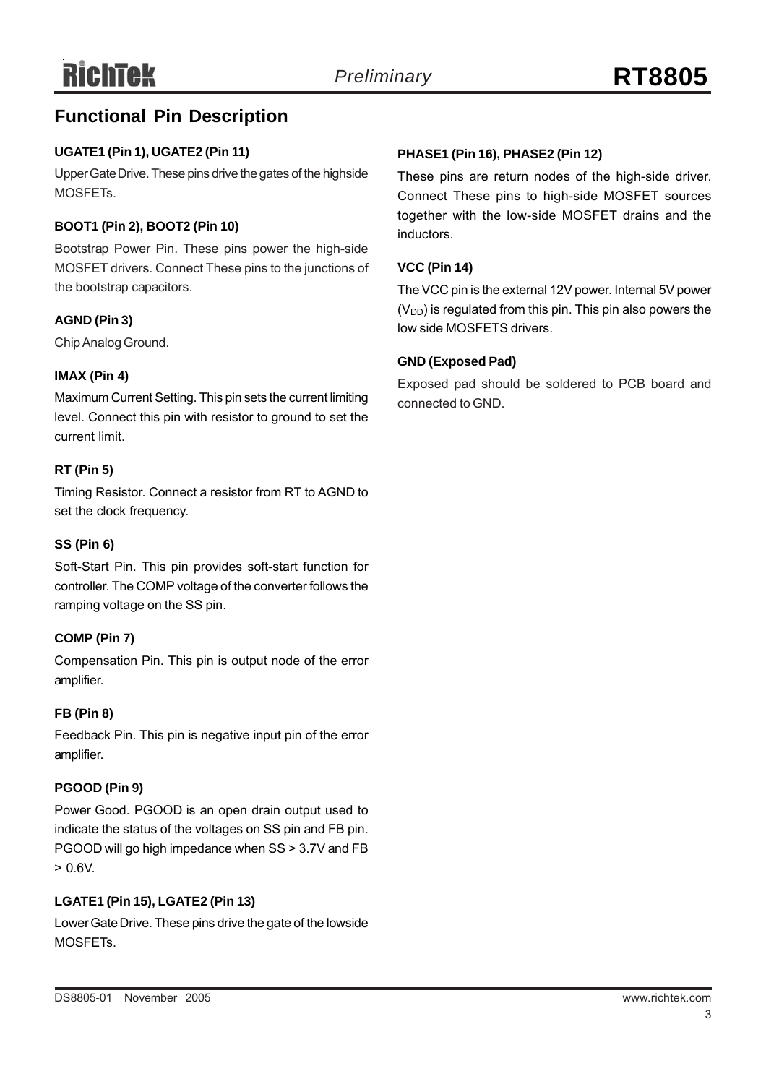## **Functional Pin Description**

#### **UGATE1 (Pin 1), UGATE2 (Pin 11)**

Upper Gate Drive. These pins drive the gates of the highside **MOSFETS** 

#### **BOOT1 (Pin 2), BOOT2 (Pin 10)**

Bootstrap Power Pin. These pins power the high-side MOSFET drivers. Connect These pins to the junctions of the bootstrap capacitors.

#### **AGND (Pin 3)**

Chip Analog Ground.

#### **IMAX (Pin 4)**

Maximum Current Setting. This pin sets the current limiting level. Connect this pin with resistor to ground to set the current limit.

#### **RT (Pin 5)**

Timing Resistor. Connect a resistor from RT to AGND to set the clock frequency.

#### **SS (Pin 6)**

Soft-Start Pin. This pin provides soft-start function for controller. The COMP voltage of the converter follows the ramping voltage on the SS pin.

#### **COMP (Pin 7)**

Compensation Pin. This pin is output node of the error amplifier.

#### **FB (Pin 8)**

Feedback Pin. This pin is negative input pin of the error amplifier.

#### **PGOOD (Pin 9)**

Power Good. PGOOD is an open drain output used to indicate the status of the voltages on SS pin and FB pin. PGOOD will go high impedance when SS > 3.7V and FB > 0.6V.

#### **LGATE1 (Pin 15), LGATE2 (Pin 13)**

Lower Gate Drive. These pins drive the gate of the lowside MOSFETs.

#### **PHASE1 (Pin 16), PHASE2 (Pin 12)**

These pins are return nodes of the high-side driver. Connect These pins to high-side MOSFET sources together with the low-side MOSFET drains and the inductors.

#### **VCC (Pin 14)**

The VCC pin is the external 12V power. Internal 5V power  $(V_{DD})$  is regulated from this pin. This pin also powers the low side MOSFETS drivers.

#### **GND (Exposed Pad)**

Exposed pad should be soldered to PCB board and connected to GND.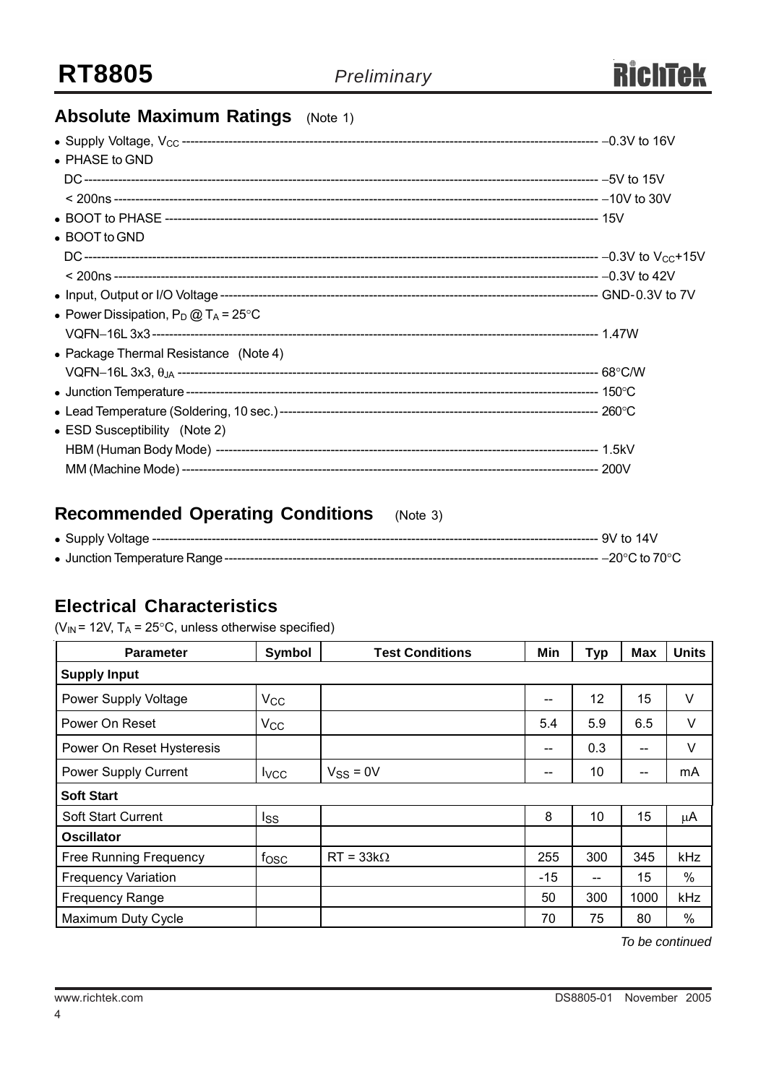

## **Absolute Maximum Ratings** (Note 1)

| $\bullet$ PHASE to GND                         |  |
|------------------------------------------------|--|
|                                                |  |
|                                                |  |
|                                                |  |
| • BOOT to GND                                  |  |
|                                                |  |
|                                                |  |
|                                                |  |
| • Power Dissipation, $P_D @ T_A = 25^{\circ}C$ |  |
|                                                |  |
| • Package Thermal Resistance (Note 4)          |  |
|                                                |  |
|                                                |  |
|                                                |  |
| • ESD Susceptibility (Note 2)                  |  |
|                                                |  |
|                                                |  |

## **Recommended Operating Conditions** (Note 3)

## **Electrical Characteristics**

( $V_{IN}$  = 12V,  $T_A$  = 25°C, unless otherwise specified)

| <b>Parameter</b>              | Symbol       | <b>Test Conditions</b> | Min   | <b>Typ</b> | <b>Max</b> | <b>Units</b> |  |
|-------------------------------|--------------|------------------------|-------|------------|------------|--------------|--|
| <b>Supply Input</b>           |              |                        |       |            |            |              |  |
| Power Supply Voltage          | $V_{\rm CC}$ |                        | $- -$ | 12         | 15         | V            |  |
| Power On Reset                | $V_{\rm CC}$ |                        | 5.4   | 5.9        | 6.5        | V            |  |
| Power On Reset Hysteresis     |              |                        | --    | 0.3        | --         | V            |  |
| Power Supply Current          | <b>I</b> vcc | $V_{SS} = 0V$          | --    | 10         | --         | mA           |  |
| <b>Soft Start</b>             |              |                        |       |            |            |              |  |
| <b>Soft Start Current</b>     | lss          |                        | 8     | 10         | 15         | μA           |  |
| <b>Oscillator</b>             |              |                        |       |            |            |              |  |
| <b>Free Running Frequency</b> | fosc         | $RT = 33k\Omega$       | 255   | 300        | 345        | kHz          |  |
| <b>Frequency Variation</b>    |              |                        | $-15$ | $-$        | 15         | $\%$         |  |
| <b>Frequency Range</b>        |              |                        | 50    | 300        | 1000       | kHz          |  |
| Maximum Duty Cycle            |              |                        | 70    | 75         | 80         | $\%$         |  |

*To be continued*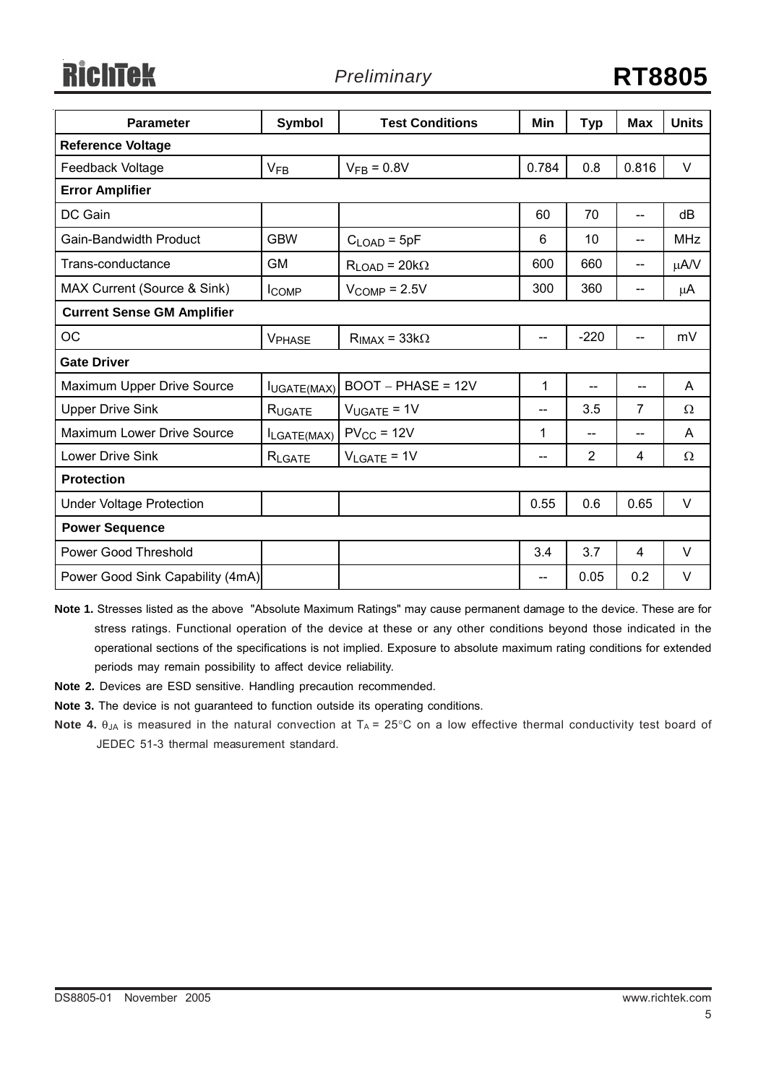**RichTek** 

| <b>Parameter</b>                  | Symbol             | <b>Test Conditions</b>  | Min                      | <b>Typ</b>     | <b>Max</b>               | <b>Units</b> |  |
|-----------------------------------|--------------------|-------------------------|--------------------------|----------------|--------------------------|--------------|--|
| <b>Reference Voltage</b>          |                    |                         |                          |                |                          |              |  |
| Feedback Voltage                  | $V_{FB}$           | $V_{FR} = 0.8V$         | 0.784                    | 0.8            | 0.816                    | V            |  |
| <b>Error Amplifier</b>            |                    |                         |                          |                |                          |              |  |
| DC Gain                           |                    |                         | 60                       | 70             | $-$                      | dB           |  |
| <b>Gain-Bandwidth Product</b>     | <b>GBW</b>         | $C_{\text{LOAD}} = 5pF$ | 6                        | 10             | $\overline{\phantom{a}}$ | <b>MHz</b>   |  |
| Trans-conductance                 | <b>GM</b>          | $R_{LOAD} = 20k\Omega$  | 600                      | 660            | --                       | μA/V         |  |
| MAX Current (Source & Sink)       | <b>ICOMP</b>       | $V_{COMP} = 2.5V$       | 300                      | 360            | --                       | $\mu$ A      |  |
| <b>Current Sense GM Amplifier</b> |                    |                         |                          |                |                          |              |  |
| <b>OC</b>                         | <b>VPHASE</b>      | $R_{IMAX} = 33k\Omega$  | $\overline{\phantom{a}}$ | $-220$         | $\overline{a}$           | mV           |  |
| <b>Gate Driver</b>                |                    |                         |                          |                |                          |              |  |
| Maximum Upper Drive Source        | <b>IUGATE(MAX)</b> | $BOOT - PHASE = 12V$    | 1                        | $-$            |                          | A            |  |
| <b>Upper Drive Sink</b>           | RUGATE             | $V_{UGATE} = 1V$        | --                       | 3.5            | 7                        | Ω            |  |
| Maximum Lower Drive Source        | LGATE(MAX)         | $PV_{CC} = 12V$         | 1                        | --             |                          | A            |  |
| <b>Lower Drive Sink</b>           | RLGATE             | $V_{LGATE} = 1V$        | --                       | $\overline{2}$ | 4                        | Ω            |  |
| <b>Protection</b>                 |                    |                         |                          |                |                          |              |  |
| <b>Under Voltage Protection</b>   |                    |                         | 0.55                     | 0.6            | 0.65                     | V            |  |
| <b>Power Sequence</b>             |                    |                         |                          |                |                          |              |  |
| Power Good Threshold              |                    |                         | 3.4                      | 3.7            | 4                        | $\vee$       |  |
| Power Good Sink Capability (4mA)  |                    |                         | $-$                      | 0.05           | 0.2                      | $\vee$       |  |

**Note 1.** Stresses listed as the above "Absolute Maximum Ratings" may cause permanent damage to the device. These are for stress ratings. Functional operation of the device at these or any other conditions beyond those indicated in the operational sections of the specifications is not implied. Exposure to absolute maximum rating conditions for extended periods may remain possibility to affect device reliability.

**Note 2.** Devices are ESD sensitive. Handling precaution recommended.

**Note 3.** The device is not guaranteed to function outside its operating conditions.

**Note 4.** θ<sub>JA</sub> is measured in the natural convection at T<sub>A</sub> = 25°C on a low effective thermal conductivity test board of JEDEC 51-3 thermal measurement standard.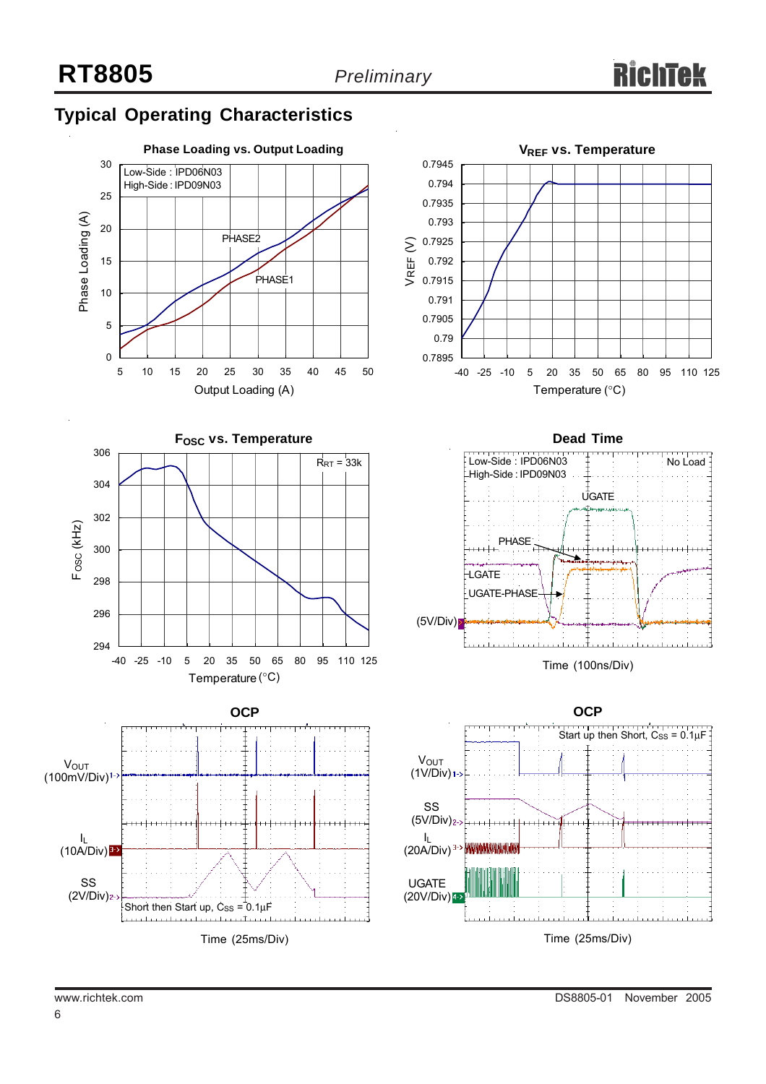

## **Typical Operating Characteristics**











Time (100ns/Div)

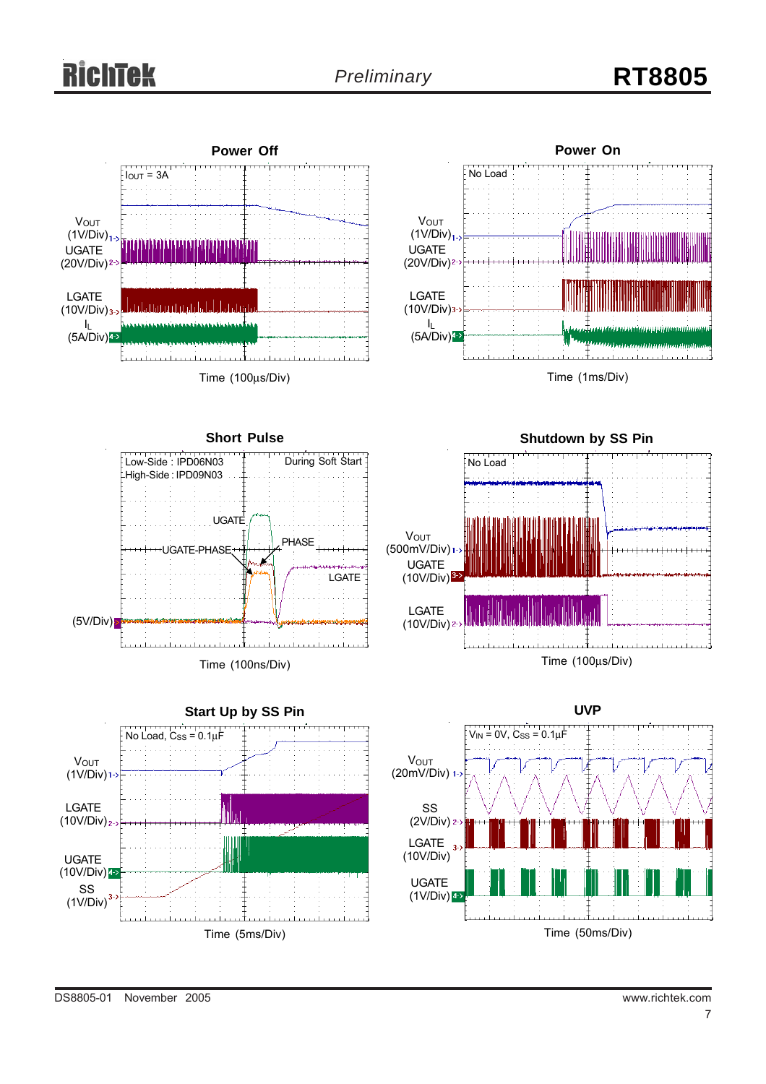## *Preliminary* **RT8805**

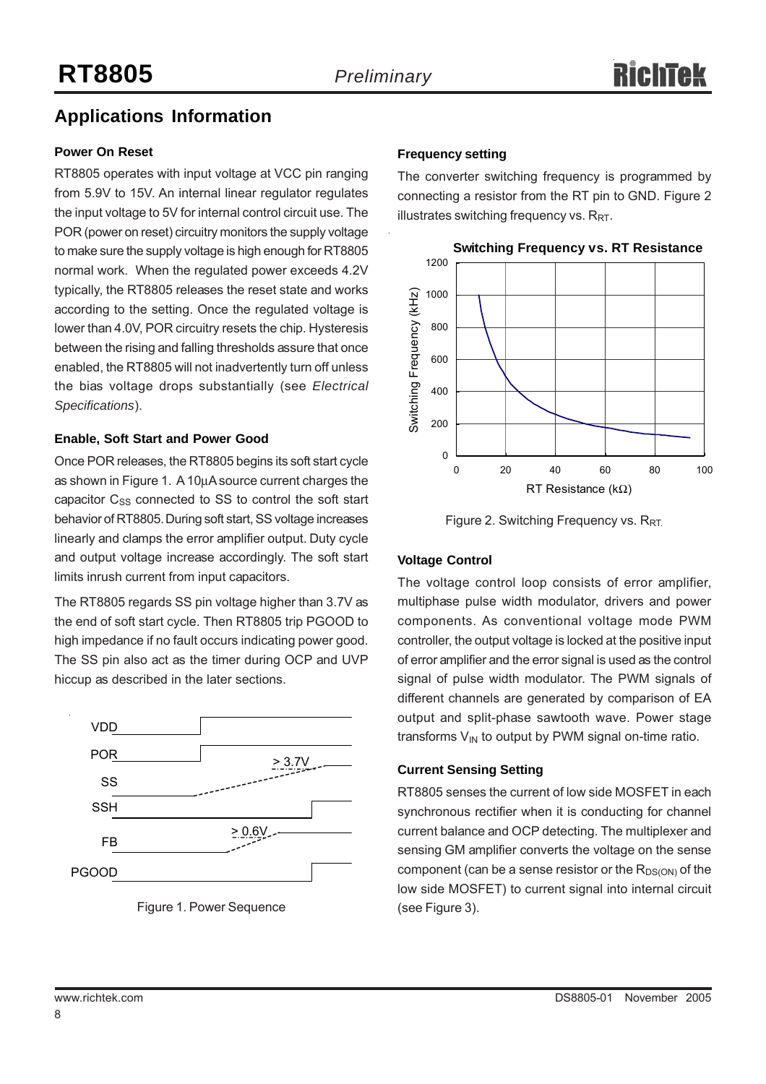## **Applications Information**

#### **Power On Reset**

RT8805 operates with input voltage at VCC pin ranging from 5.9V to 15V. An internal linear regulator regulates the input voltage to 5V for internal control circuit use. The POR (power on reset) circuitry monitors the supply voltage to make sure the supply voltage is high enough for RT8805 normal work. When the regulated power exceeds 4.2V typically, the RT8805 releases the reset state and works according to the setting. Once the regulated voltage is lower than 4.0V, POR circuitry resets the chip. Hysteresis between the rising and falling thresholds assure that once enabled, the RT8805 will not inadvertently turn off unless the bias voltage drops substantially (see *Electrical Specifications*).

#### **Enable, Soft Start and Power Good**

Once POR releases, the RT8805 begins its soft start cycle as shown in Figure 1. A 10μA source current charges the capacitor C<sub>SS</sub> connected to SS to control the soft start behavior of RT8805. During soft start, SS voltage increases linearly and clamps the error amplifier output. Duty cycle and output voltage increase accordingly. The soft start limits inrush current from input capacitors.

The RT8805 regards SS pin voltage higher than 3.7V as the end of soft start cycle. Then RT8805 trip PGOOD to high impedance if no fault occurs indicating power good. The SS pin also act as the timer during OCP and UVP hiccup as described in the later sections.





#### **Frequency setting**

The converter switching frequency is programmed by connecting a resistor from the RT pin to GND. Figure 2 illustrates switching frequency vs.  $R_{RT}$ .



Figure 2. Switching Frequency vs. R<sub>RT.</sub>

#### **Voltage Control**

The voltage control loop consists of error amplifier, multiphase pulse width modulator, drivers and power components. As conventional voltage mode PWM controller, the output voltage is locked at the positive input of error amplifier and the error signal is used as the control signal of pulse width modulator. The PWM signals of different channels are generated by comparison of EA output and split-phase sawtooth wave. Power stage transforms  $V_{IN}$  to output by PWM signal on-time ratio.

#### **Current Sensing Setting**

RT8805 senses the current of low side MOSFET in each synchronous rectifier when it is conducting for channel current balance and OCP detecting. The multiplexer and sensing GM amplifier converts the voltage on the sense component (can be a sense resistor or the  $R_{DS(ON)}$  of the low side MOSFET) to current signal into internal circuit (see Figure 3).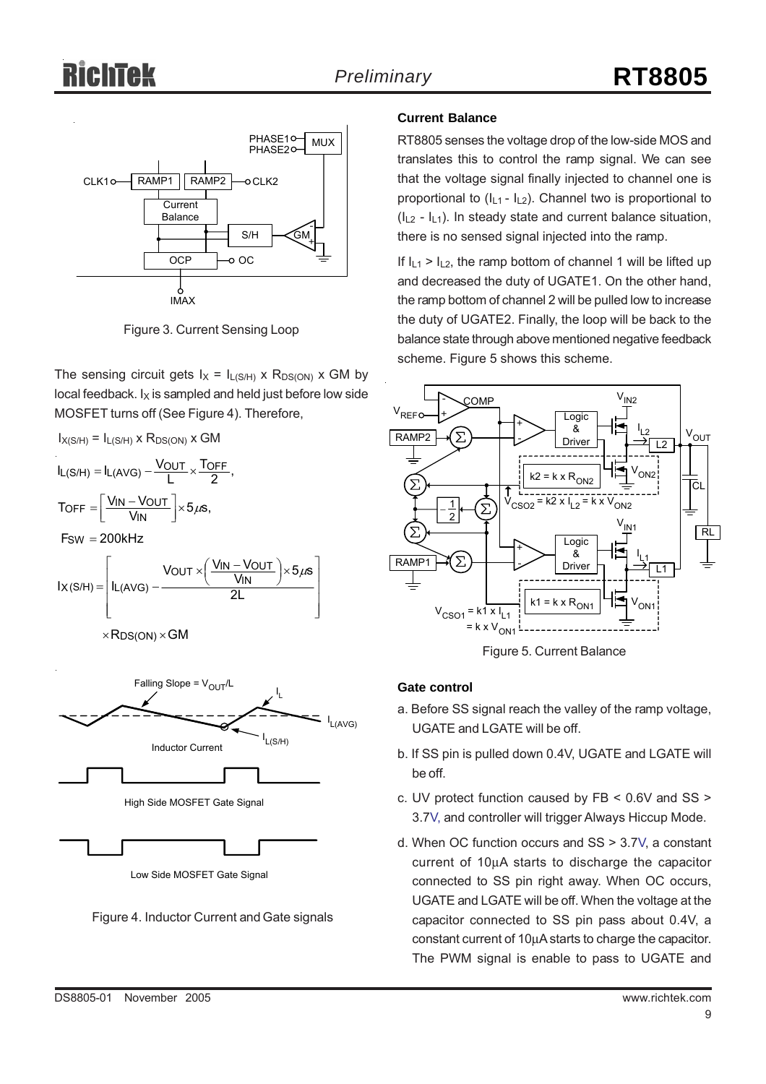

Figure 3. Current Sensing Loop

The sensing circuit gets  $I_X = I_{L(S/H)} \times R_{DS(ON)} \times GM$  by local feedback.  $I_X$  is sampled and held just before low side MOSFET turns off (See Figure 4). Therefore,



#### **Current Balance**

RT8805 senses the voltage drop of the low-side MOS and translates this to control the ramp signal. We can see that the voltage signal finally injected to channel one is proportional to  $(I_{L1} - I_{L2})$ . Channel two is proportional to  $(I<sub>L2</sub> - I<sub>L1</sub>)$ . In steady state and current balance situation, there is no sensed signal injected into the ramp.

If  $I_{11} > I_{12}$ , the ramp bottom of channel 1 will be lifted up and decreased the duty of UGATE1. On the other hand, the ramp bottom of channel 2 will be pulled low to increase the duty of UGATE2. Finally, the loop will be back to the balance state through above mentioned negative feedback scheme. Figure 5 shows this scheme.



Figure 5. Current Balance

#### **Gate control**

- a. Before SS signal reach the valley of the ramp voltage, UGATE and LGATE will be off.
- b. If SS pin is pulled down 0.4V, UGATE and LGATE will be off.
- c. UV protect function caused by FB < 0.6V and SS > 3.7V, and controller will trigger Always Hiccup Mode.
- d. When OC function occurs and SS > 3.7V, a constant current of 10μA starts to discharge the capacitor connected to SS pin right away. When OC occurs, UGATE and LGATE will be off. When the voltage at the capacitor connected to SS pin pass about 0.4V, a constant current of 10μA starts to charge the capacitor. The PWM signal is enable to pass to UGATE and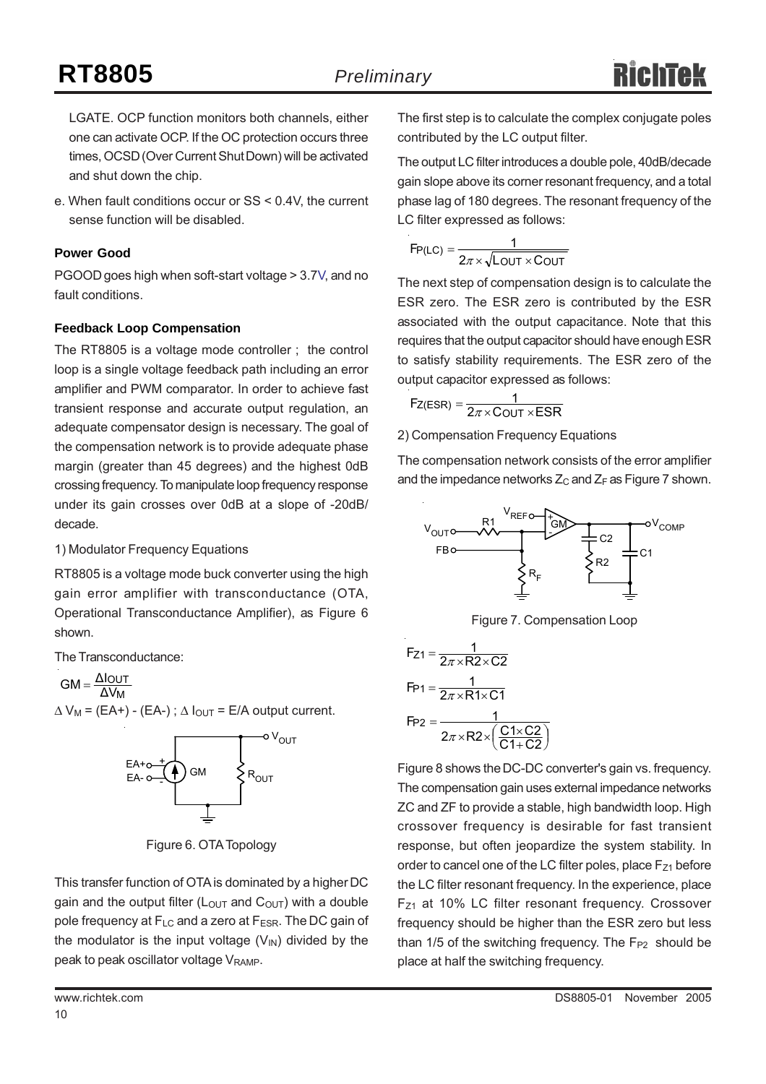## **RT8805** *Preliminary*

LGATE. OCP function monitors both channels, either one can activate OCP. If the OC protection occurs three times, OCSD (Over Current Shut Down) will be activated and shut down the chip.

e. When fault conditions occur or SS < 0.4V, the current sense function will be disabled.

#### **Power Good**

PGOOD goes high when soft-start voltage > 3.7V, and no fault conditions.

#### **Feedback Loop Compensation**

The RT8805 is a voltage mode controller ; the control loop is a single voltage feedback path including an error amplifier and PWM comparator. In order to achieve fast transient response and accurate output regulation, an adequate compensator design is necessary. The goal of the compensation network is to provide adequate phase margin (greater than 45 degrees) and the highest 0dB crossing frequency. To manipulate loop frequency response under its gain crosses over 0dB at a slope of -20dB/ decade.

#### 1) Modulator Frequency Equations

RT8805 is a voltage mode buck converter using the high gain error amplifier with transconductance (OTA, Operational Transconductance Amplifier), as Figure 6 shown.

The Transconductance:

 $\Delta V_M$  = (EA+) - (EA-);  $\Delta I_{OUT}$  = E/A output current. M ΔV  $GM = \frac{\Delta I_{OUT}}{\Delta V_{tot}}$ 



Figure 6. OTA Topology

This transfer function of OTA is dominated by a higher DC gain and the output filter ( $L_{\text{OUT}}$  and  $C_{\text{OUT}}$ ) with a double pole frequency at  $F_{LC}$  and a zero at  $F_{ESR}$ . The DC gain of the modulator is the input voltage  $(V_{\text{IN}})$  divided by the peak to peak oscillator voltage V<sub>RAMP</sub>.

The first step is to calculate the complex conjugate poles contributed by the LC output filter.

The output LC filter introduces a double pole, 40dB/decade gain slope above its corner resonant frequency, and a total phase lag of 180 degrees. The resonant frequency of the LC filter expressed as follows:

$$
F_{P(LC)} = \frac{1}{2\pi \times \sqrt{L_{OUT} \times C_{OUT}}}
$$

The next step of compensation design is to calculate the ESR zero. The ESR zero is contributed by the ESR associated with the output capacitance. Note that this requires that the output capacitor should have enough ESR to satisfy stability requirements. The ESR zero of the output capacitor expressed as follows:

$$
F_{Z(ESR)} = \frac{1}{2\pi \times COUT \times ESR}
$$

2) Compensation Frequency Equations

The compensation network consists of the error amplifier and the impedance networks  $Z_c$  and  $Z_F$  as Figure 7 shown.



Figure 7. Compensation Loop

$$
F_{Z1} = \frac{1}{2\pi \times R2 \times C2}
$$
\n
$$
F_{P1} = \frac{1}{2\pi \times R1 \times C1}
$$
\n
$$
F_{P2} = \frac{1}{2\pi \times R2 \times \left(\frac{C1 \times C2}{C1 + C2}\right)}
$$

Figure 8 shows the DC-DC converter's gain vs. frequency. The compensation gain uses external impedance networks ZC and ZF to provide a stable, high bandwidth loop. High crossover frequency is desirable for fast transient response, but often jeopardize the system stability. In order to cancel one of the LC filter poles, place  $F_{Z1}$  before the LC filter resonant frequency. In the experience, place  $F_{Z1}$  at 10% LC filter resonant frequency. Crossover frequency should be higher than the ESR zero but less than 1/5 of the switching frequency. The  $F_{P2}$  should be place at half the switching frequency.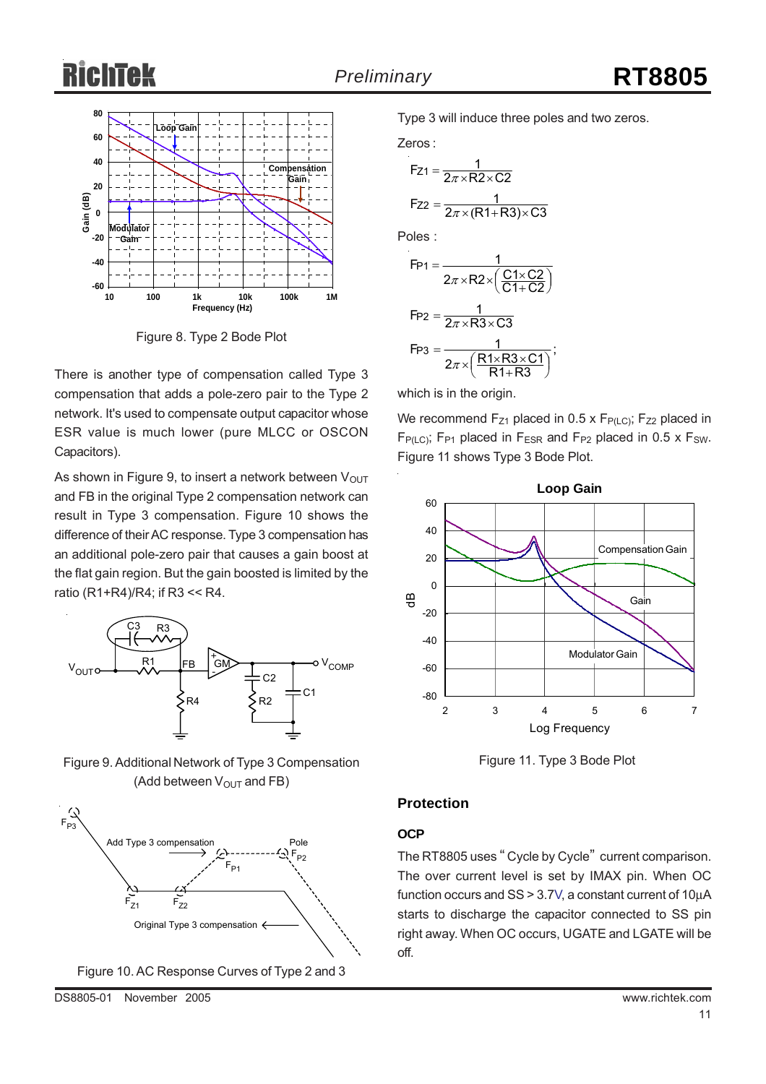## Riel





Figure 8. Type 2 Bode Plot

There is another type of compensation called Type 3 compensation that adds a pole-zero pair to the Type 2 network. It's used to compensate output capacitor whose ESR value is much lower (pure MLCC or OSCON Capacitors).

As shown in Figure 9, to insert a network between  $V_{\text{OUT}}$ and FB in the original Type 2 compensation network can result in Type 3 compensation. Figure 10 shows the difference of their AC response. Type 3 compensation has an additional pole-zero pair that causes a gain boost at the flat gain region. But the gain boosted is limited by the ratio (R1+R4)/R4; if R3 << R4.



Figure 9. Additional Network of Type 3 Compensation (Add between  $V_{\text{OUT}}$  and FB)



Figure 10. AC Response Curves of Type 2 and 3

Type 3 will induce three poles and two zeros.

Zeros :

$$
Fz_1 = \frac{1}{2\pi \times R2 \times C2}
$$

$$
Fz_2 = \frac{1}{2\pi \times (R1 + R3) \times C3}
$$

Poles :

$$
F_{P1} = \frac{1}{2\pi \times R2 \times \left(\frac{C1 \times C2}{C1 + C2}\right)}
$$
  
\n
$$
F_{P2} = \frac{1}{2\pi \times R3 \times C3}
$$
  
\n
$$
F_{P3} = \frac{1}{2\pi \times \left(\frac{R1 \times R3 \times C1}{R1 + R3}\right)};
$$

which is in the origin.

We recommend  $F_{Z1}$  placed in 0.5 x  $F_{P(LC)}$ ;  $F_{Z2}$  placed in  $F_{P(LC)}$ ;  $F_{P1}$  placed in  $F_{ESR}$  and  $F_{P2}$  placed in 0.5 x  $F_{SW}$ . Figure 11 shows Type 3 Bode Plot.



Figure 11. Type 3 Bode Plot

#### **Protection**

#### **OCP**

The RT8805 uses " Cycle by Cycle" current comparison. The over current level is set by IMAX pin. When OC function occurs and SS > 3.7V, a constant current of 10μA starts to discharge the capacitor connected to SS pin right away. When OC occurs, UGATE and LGATE will be off.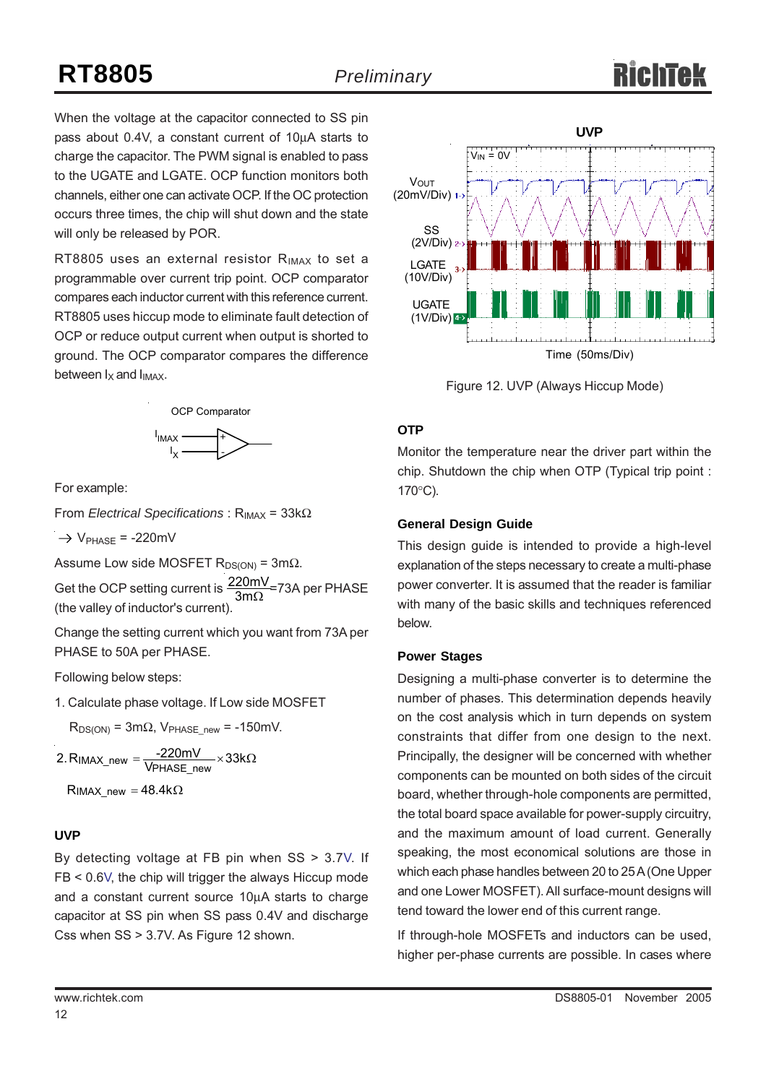When the voltage at the capacitor connected to SS pin pass about 0.4V, a constant current of 10μA starts to charge the capacitor. The PWM signal is enabled to pass to the UGATE and LGATE. OCP function monitors both channels, either one can activate OCP. If the OC protection occurs three times, the chip will shut down and the state will only be released by POR.

RT8805 uses an external resistor  $R_{IMAX}$  to set a programmable over current trip point. OCP comparator compares each inductor current with this reference current. RT8805 uses hiccup mode to eliminate fault detection of OCP or reduce output current when output is shorted to ground. The OCP comparator compares the difference between I<sub>x</sub> and I<sub>MAX</sub>.



For example:

From *Electrical Specifications* : R<sub>IMAX</sub> = 33kΩ

 $\rightarrow$  V<sub>PHASE</sub> = -220mV

Assume Low side MOSFET  $R_{DS(ON)} = 3m\Omega$ .

Get the OCP setting current is  $\frac{220 \text{mV}}{3 \text{m}\Omega}$  = 73A per PHASE (the valley of inductor's current). 3mΩ

Change the setting current which you want from 73A per PHASE to 50A per PHASE.

Following below steps:

1. Calculate phase voltage. If Low side MOSFET

 $R_{DS(ON)} = 3m\Omega$ , V<sub>PHASE\_new</sub> = -150mV.

 $\mathsf{R}_{\mathsf{IMAX\_new}} = 48.4 \mathrm{k}\Omega$  $IMAX_new = \frac{-22UIIIV}{VPHASE_new} \times 33k\Omega$ 2. RIMAX new  $=$ 

### **UVP**

By detecting voltage at FB pin when SS > 3.7V. If FB < 0.6V, the chip will trigger the always Hiccup mode and a constant current source 10μA starts to charge capacitor at SS pin when SS pass 0.4V and discharge Css when SS > 3.7V. As Figure 12 shown.



Figure 12. UVP (Always Hiccup Mode)

#### **OTP**

Monitor the temperature near the driver part within the chip. Shutdown the chip when OTP (Typical trip point : 170°C).

#### **General Design Guide**

This design guide is intended to provide a high-level explanation of the steps necessary to create a multi-phase power converter. It is assumed that the reader is familiar with many of the basic skills and techniques referenced below.

#### **Power Stages**

Designing a multi-phase converter is to determine the number of phases. This determination depends heavily on the cost analysis which in turn depends on system constraints that differ from one design to the next. Principally, the designer will be concerned with whether components can be mounted on both sides of the circuit board, whether through-hole components are permitted, the total board space available for power-supply circuitry, and the maximum amount of load current. Generally speaking, the most economical solutions are those in which each phase handles between 20 to 25 A (One Upper and one Lower MOSFET). All surface-mount designs will tend toward the lower end of this current range.

If through-hole MOSFETs and inductors can be used, higher per-phase currents are possible. In cases where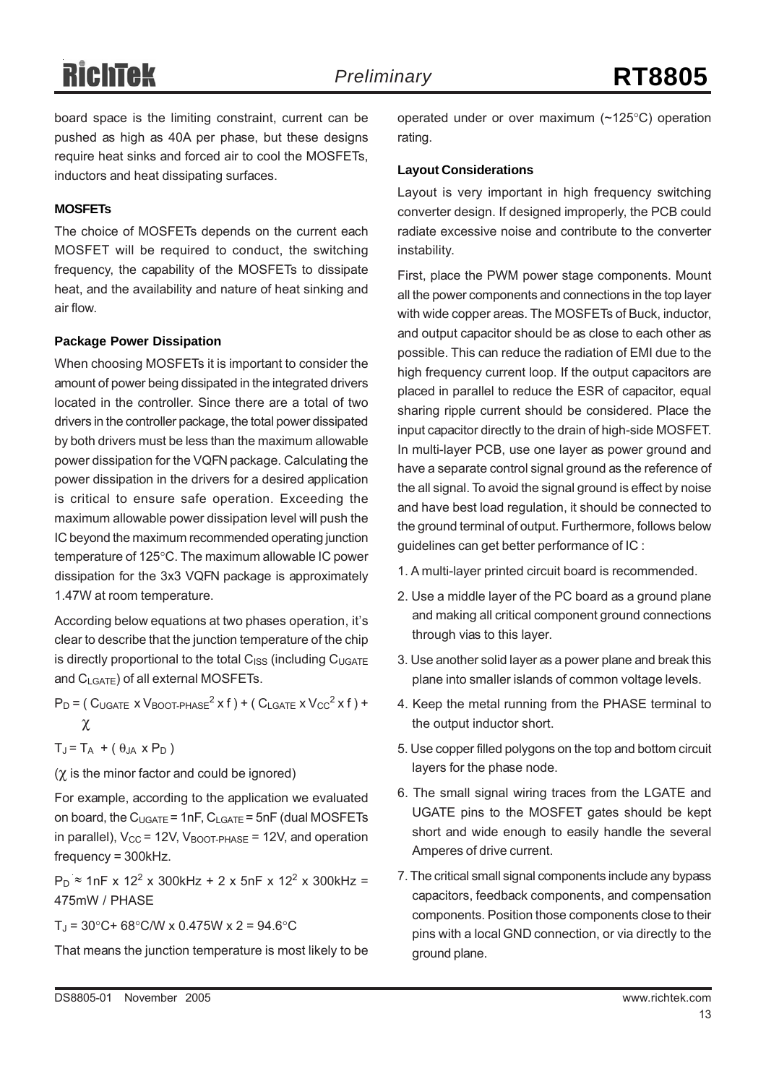# RichTek

board space is the limiting constraint, current can be pushed as high as 40A per phase, but these designs require heat sinks and forced air to cool the MOSFETs, inductors and heat dissipating surfaces.

#### **MOSFETs**

The choice of MOSFETs depends on the current each MOSFET will be required to conduct, the switching frequency, the capability of the MOSFETs to dissipate heat, and the availability and nature of heat sinking and air flow.

#### **Package Power Dissipation**

When choosing MOSFETs it is important to consider the amount of power being dissipated in the integrated drivers located in the controller. Since there are a total of two drivers in the controller package, the total power dissipated by both drivers must be less than the maximum allowable power dissipation for the VQFN package. Calculating the power dissipation in the drivers for a desired application is critical to ensure safe operation. Exceeding the maximum allowable power dissipation level will push the IC beyond the maximum recommended operating junction temperature of 125°C. The maximum allowable IC power dissipation for the 3x3 VQFN package is approximately 1.47W at room temperature.

According below equations at two phases operation, it's clear to describe that the junction temperature of the chip is directly proportional to the total  $C_{ISS}$  (including  $C_{UGATE}$ and CLGATE) of all external MOSFETs.

 $P_D$  = (  $C_{UGATE}$  x  $V_{BOOT\text{-PHASE}}^2$  x f ) + (  $C_{LGATE}$  x  $V_{CC}^2$  x f ) + χ  $T_J = T_A + (\theta_{JA} \times P_D)$ 

(χ is the minor factor and could be ignored)

For example, according to the application we evaluated on board, the  $C_{UGATE} = 1nF$ ,  $C_{LGATE} = 5nF$  (dual MOSFETs in parallel),  $V_{CC}$  = 12V,  $V_{BOOT-PHASE}$  = 12V, and operation frequency = 300kHz.

 $P_D \approx 1$ nF x 12<sup>2</sup> x 300kHz + 2 x 5nF x 12<sup>2</sup> x 300kHz = 475mW / PHASE

$$
T_J = 30
$$
°C+ 68°C/W x 0.475W x 2 = 94.6°C

That means the junction temperature is most likely to be

operated under or over maximum (~125°C) operation rating.

#### **Layout Considerations**

Layout is very important in high frequency switching converter design. If designed improperly, the PCB could radiate excessive noise and contribute to the converter instability.

First, place the PWM power stage components. Mount all the power components and connections in the top layer with wide copper areas. The MOSFETs of Buck, inductor, and output capacitor should be as close to each other as possible. This can reduce the radiation of EMI due to the high frequency current loop. If the output capacitors are placed in parallel to reduce the ESR of capacitor, equal sharing ripple current should be considered. Place the input capacitor directly to the drain of high-side MOSFET. In multi-layer PCB, use one layer as power ground and have a separate control signal ground as the reference of the all signal. To avoid the signal ground is effect by noise and have best load regulation, it should be connected to the ground terminal of output. Furthermore, follows below guidelines can get better performance of IC :

- 1. A multi-layer printed circuit board is recommended.
- 2. Use a middle layer of the PC board as a ground plane and making all critical component ground connections through vias to this layer.
- 3. Use another solid layer as a power plane and break this plane into smaller islands of common voltage levels.
- 4. Keep the metal running from the PHASE terminal to the output inductor short.
- 5. Use copper filled polygons on the top and bottom circuit layers for the phase node.
- 6. The small signal wiring traces from the LGATE and UGATE pins to the MOSFET gates should be kept short and wide enough to easily handle the several Amperes of drive current.
- 7. The critical small signal components include any bypass capacitors, feedback components, and compensation components. Position those components close to their pins with a local GND connection, or via directly to the ground plane.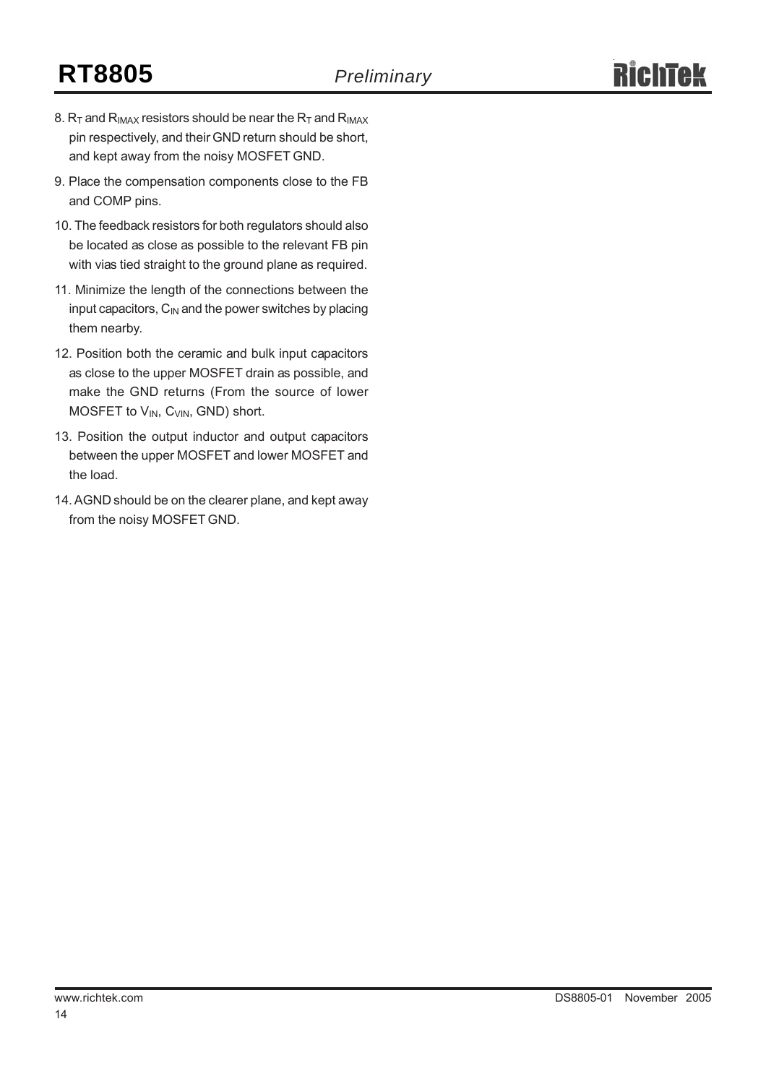## **RT8805** *Preliminary*

- 8.  $R_T$  and  $R_{IMAX}$  resistors should be near the  $R_T$  and  $R_{IMAX}$ pin respectively, and their GND return should be short, and kept away from the noisy MOSFET GND.
- 9. Place the compensation components close to the FB and COMP pins.
- 10. The feedback resistors for both regulators should also be located as close as possible to the relevant FB pin with vias tied straight to the ground plane as required.
- 11. Minimize the length of the connections between the input capacitors,  $C_{\text{IN}}$  and the power switches by placing them nearby.
- 12. Position both the ceramic and bulk input capacitors as close to the upper MOSFET drain as possible, and make the GND returns (From the source of lower MOSFET to  $V_{IN}$ ,  $C_{VIN}$ , GND) short.
- 13. Position the output inductor and output capacitors between the upper MOSFET and lower MOSFET and the load.
- 14. AGND should be on the clearer plane, and kept away from the noisy MOSFET GND.